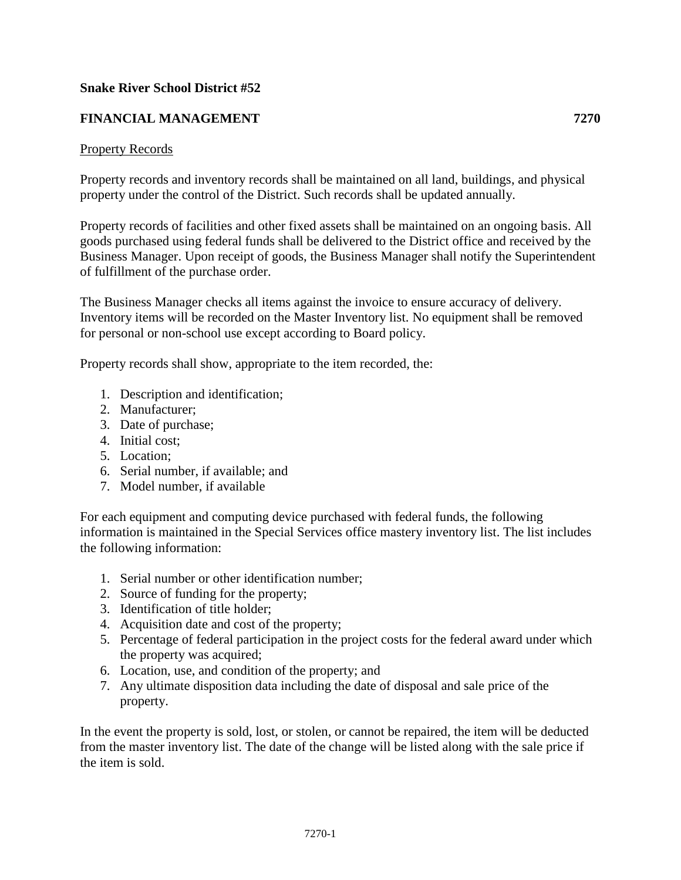## **Snake River School District #52**

# **FINANCIAL MANAGEMENT 7270**

#### Property Records

Property records and inventory records shall be maintained on all land, buildings, and physical property under the control of the District. Such records shall be updated annually.

Property records of facilities and other fixed assets shall be maintained on an ongoing basis. All goods purchased using federal funds shall be delivered to the District office and received by the Business Manager. Upon receipt of goods, the Business Manager shall notify the Superintendent of fulfillment of the purchase order.

The Business Manager checks all items against the invoice to ensure accuracy of delivery. Inventory items will be recorded on the Master Inventory list. No equipment shall be removed for personal or non-school use except according to Board policy.

Property records shall show, appropriate to the item recorded, the:

- 1. Description and identification;
- 2. Manufacturer;
- 3. Date of purchase;
- 4. Initial cost;
- 5. Location;
- 6. Serial number, if available; and
- 7. Model number, if available

For each equipment and computing device purchased with federal funds, the following information is maintained in the Special Services office mastery inventory list. The list includes the following information:

- 1. Serial number or other identification number;
- 2. Source of funding for the property;
- 3. Identification of title holder;
- 4. Acquisition date and cost of the property;
- 5. Percentage of federal participation in the project costs for the federal award under which the property was acquired;
- 6. Location, use, and condition of the property; and
- 7. Any ultimate disposition data including the date of disposal and sale price of the property.

In the event the property is sold, lost, or stolen, or cannot be repaired, the item will be deducted from the master inventory list. The date of the change will be listed along with the sale price if the item is sold.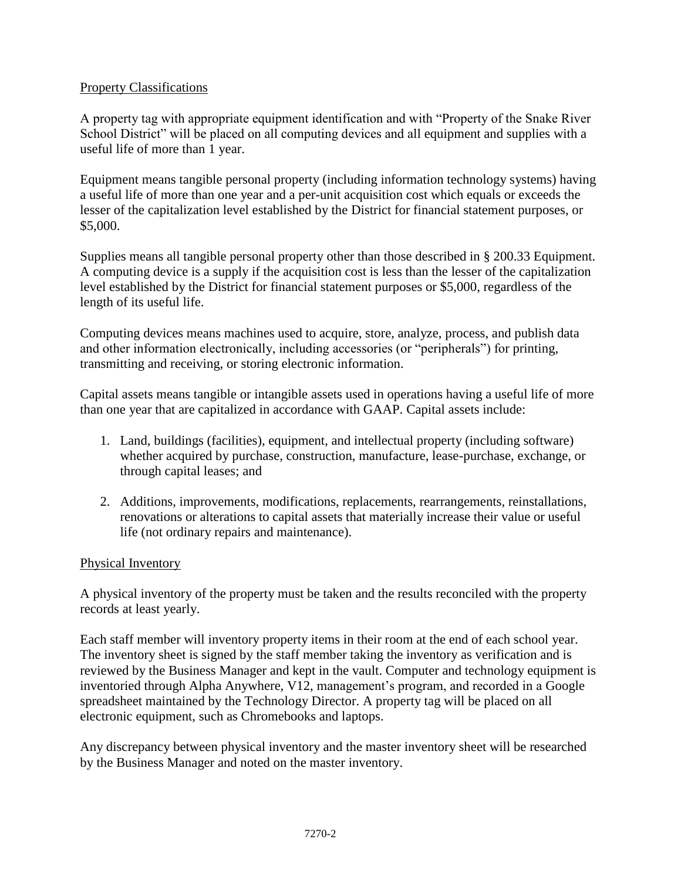## Property Classifications

A property tag with appropriate equipment identification and with "Property of the Snake River School District" will be placed on all computing devices and all equipment and supplies with a useful life of more than 1 year.

Equipment means tangible personal property (including information technology systems) having a useful life of more than one year and a per-unit acquisition cost which equals or exceeds the lesser of the capitalization level established by the District for financial statement purposes, or \$5,000.

Supplies means all tangible personal property other than those described in § 200.33 Equipment. A computing device is a supply if the acquisition cost is less than the lesser of the capitalization level established by the District for financial statement purposes or \$5,000, regardless of the length of its useful life.

Computing devices means machines used to acquire, store, analyze, process, and publish data and other information electronically, including accessories (or "peripherals") for printing, transmitting and receiving, or storing electronic information.

Capital assets means tangible or intangible assets used in operations having a useful life of more than one year that are capitalized in accordance with GAAP. Capital assets include:

- 1. Land, buildings (facilities), equipment, and intellectual property (including software) whether acquired by purchase, construction, manufacture, lease-purchase, exchange, or through capital leases; and
- 2. Additions, improvements, modifications, replacements, rearrangements, reinstallations, renovations or alterations to capital assets that materially increase their value or useful life (not ordinary repairs and maintenance).

# Physical Inventory

A physical inventory of the property must be taken and the results reconciled with the property records at least yearly.

Each staff member will inventory property items in their room at the end of each school year. The inventory sheet is signed by the staff member taking the inventory as verification and is reviewed by the Business Manager and kept in the vault. Computer and technology equipment is inventoried through Alpha Anywhere, V12, management's program, and recorded in a Google spreadsheet maintained by the Technology Director. A property tag will be placed on all electronic equipment, such as Chromebooks and laptops.

Any discrepancy between physical inventory and the master inventory sheet will be researched by the Business Manager and noted on the master inventory.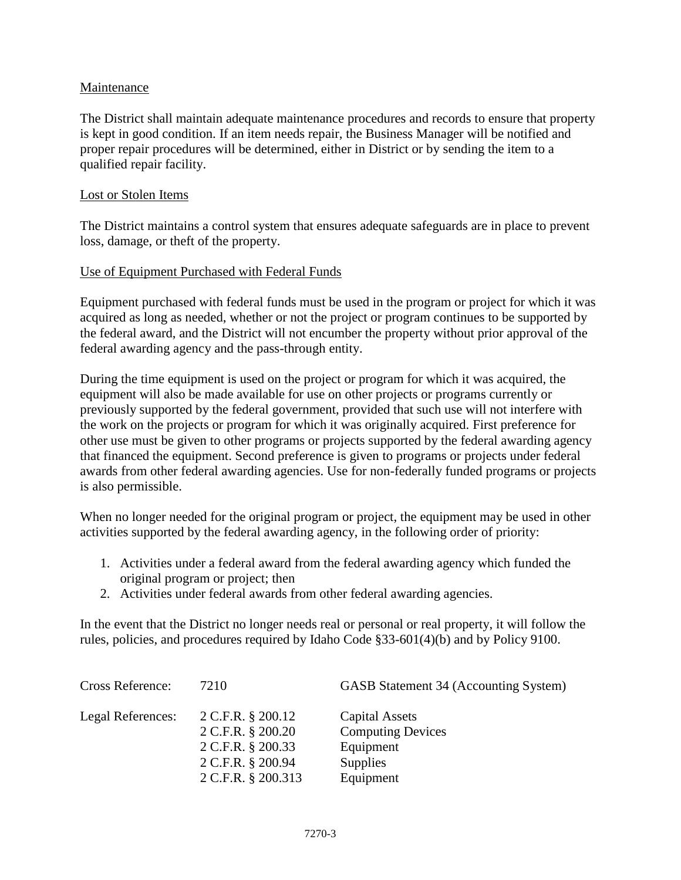## Maintenance

The District shall maintain adequate maintenance procedures and records to ensure that property is kept in good condition. If an item needs repair, the Business Manager will be notified and proper repair procedures will be determined, either in District or by sending the item to a qualified repair facility.

#### Lost or Stolen Items

The District maintains a control system that ensures adequate safeguards are in place to prevent loss, damage, or theft of the property.

## Use of Equipment Purchased with Federal Funds

Equipment purchased with federal funds must be used in the program or project for which it was acquired as long as needed, whether or not the project or program continues to be supported by the federal award, and the District will not encumber the property without prior approval of the federal awarding agency and the pass-through entity.

During the time equipment is used on the project or program for which it was acquired, the equipment will also be made available for use on other projects or programs currently or previously supported by the federal government, provided that such use will not interfere with the work on the projects or program for which it was originally acquired. First preference for other use must be given to other programs or projects supported by the federal awarding agency that financed the equipment. Second preference is given to programs or projects under federal awards from other federal awarding agencies. Use for non-federally funded programs or projects is also permissible.

When no longer needed for the original program or project, the equipment may be used in other activities supported by the federal awarding agency, in the following order of priority:

- 1. Activities under a federal award from the federal awarding agency which funded the original program or project; then
- 2. Activities under federal awards from other federal awarding agencies.

In the event that the District no longer needs real or personal or real property, it will follow the rules, policies, and procedures required by Idaho Code §33-601(4)(b) and by Policy 9100.

| <b>Cross Reference:</b> | 7210                                                                                                   | GASB Statement 34 (Accounting System)                                                   |
|-------------------------|--------------------------------------------------------------------------------------------------------|-----------------------------------------------------------------------------------------|
| Legal References:       | 2 C.F.R. § 200.12<br>2 C.F.R. § 200.20<br>2 C.F.R. § 200.33<br>2 C.F.R. § 200.94<br>2 C.F.R. § 200.313 | Capital Assets<br><b>Computing Devices</b><br>Equipment<br><b>Supplies</b><br>Equipment |
|                         |                                                                                                        |                                                                                         |